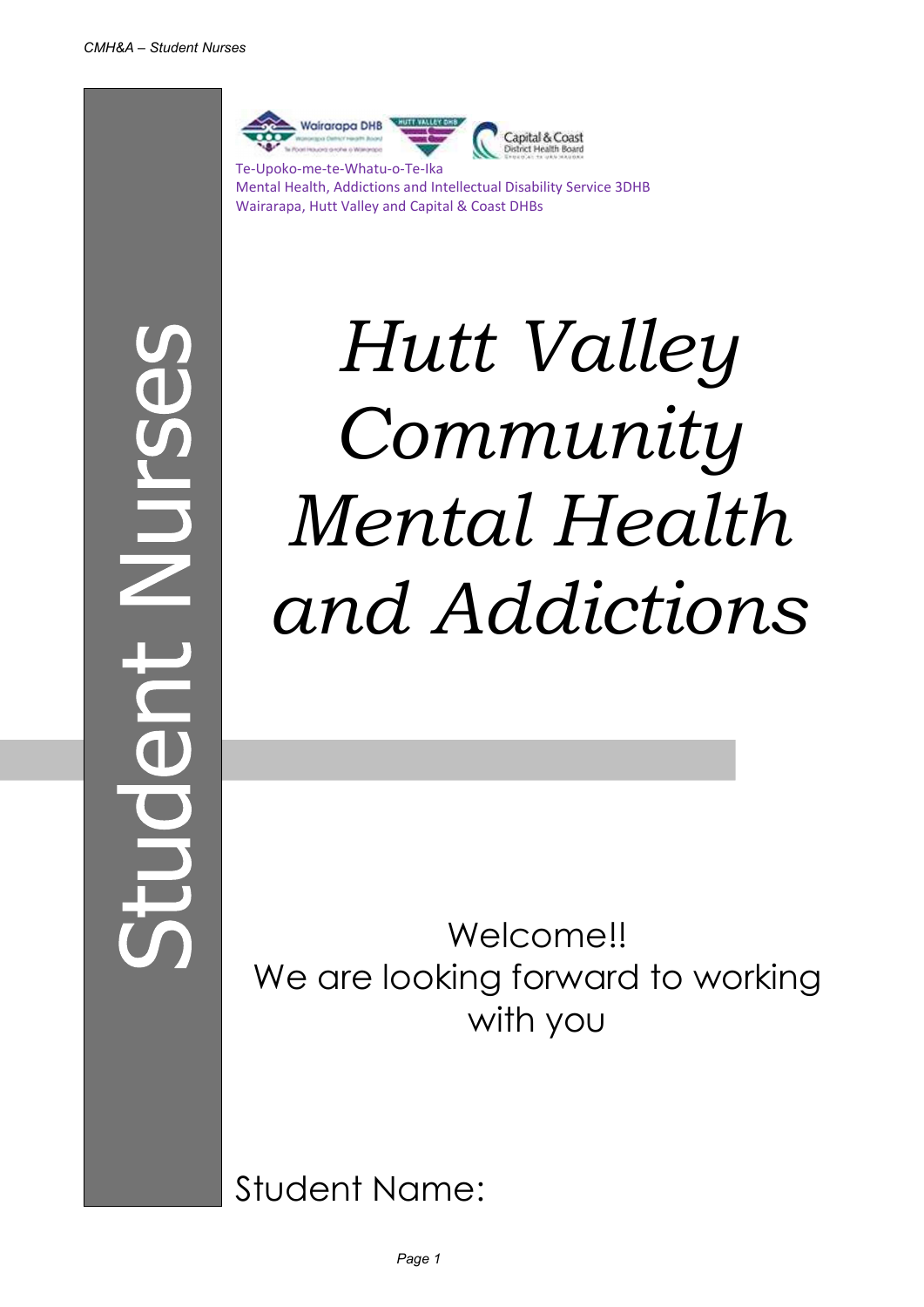

Mental Health, Addictions and Intellectual Disability Service 3DHB Wairarapa, Hutt Valley and Capital & Coast DHBs

 $\frac{1}{2}$ 

Hutt Valley Community Mental Health and Addictions

Welcome!! We are looking forward to working with you

Student Name: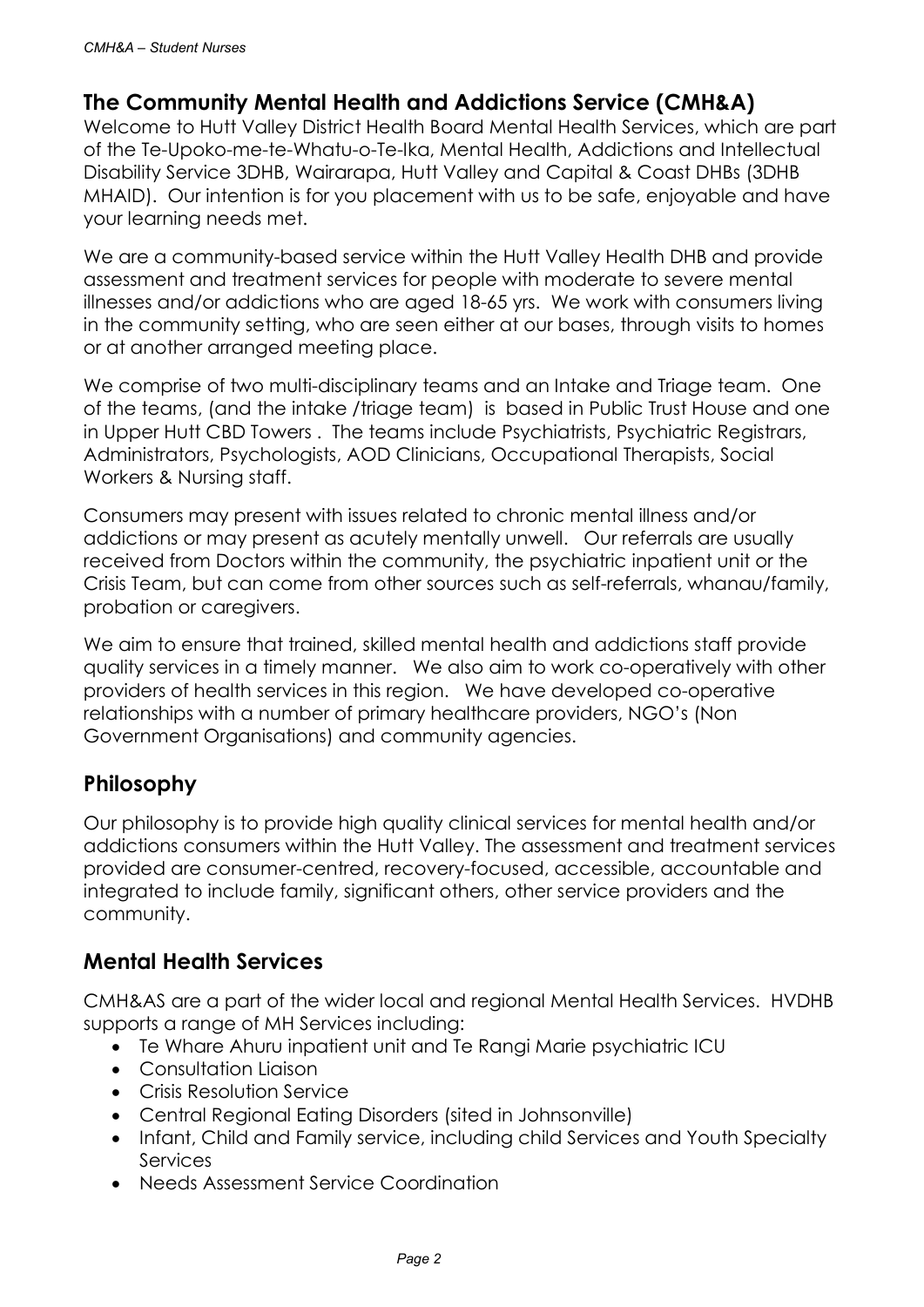#### The Community Mental Health and Addictions Service (CMH&A)

Welcome to Hutt Valley District Health Board Mental Health Services, which are part of the Te-Upoko-me-te-Whatu-o-Te-Ika, Mental Health, Addictions and Intellectual Disability Service 3DHB, Wairarapa, Hutt Valley and Capital & Coast DHBs (3DHB MHAID). Our intention is for you placement with us to be safe, enjoyable and have your learning needs met.

We are a community-based service within the Hutt Valley Health DHB and provide assessment and treatment services for people with moderate to severe mental illnesses and/or addictions who are aged 18-65 yrs. We work with consumers living in the community setting, who are seen either at our bases, through visits to homes or at another arranged meeting place.

We comprise of two multi-disciplinary teams and an Intake and Triage team. One of the teams, (and the intake /triage team) is based in Public Trust House and one in Upper Hutt CBD Towers . The teams include Psychiatrists, Psychiatric Registrars, Administrators, Psychologists, AOD Clinicians, Occupational Therapists, Social Workers & Nursing staff.

Consumers may present with issues related to chronic mental illness and/or addictions or may present as acutely mentally unwell. Our referrals are usually received from Doctors within the community, the psychiatric inpatient unit or the Crisis Team, but can come from other sources such as self-referrals, whanau/family, probation or caregivers.

We aim to ensure that trained, skilled mental health and addictions staff provide quality services in a timely manner. We also aim to work co-operatively with other providers of health services in this region. We have developed co-operative relationships with a number of primary healthcare providers, NGO's (Non Government Organisations) and community agencies.

#### Philosophy

Our philosophy is to provide high quality clinical services for mental health and/or addictions consumers within the Hutt Valley. The assessment and treatment services provided are consumer-centred, recovery-focused, accessible, accountable and integrated to include family, significant others, other service providers and the community.

#### Mental Health Services

CMH&AS are a part of the wider local and regional Mental Health Services. HVDHB supports a range of MH Services including:

- Te Whare Ahuru inpatient unit and Te Rangi Marie psychiatric ICU
- Consultation Liaison
- Crisis Resolution Service
- Central Regional Eating Disorders (sited in Johnsonville)
- Infant, Child and Family service, including child Services and Youth Specialty **Services**
- Needs Assessment Service Coordination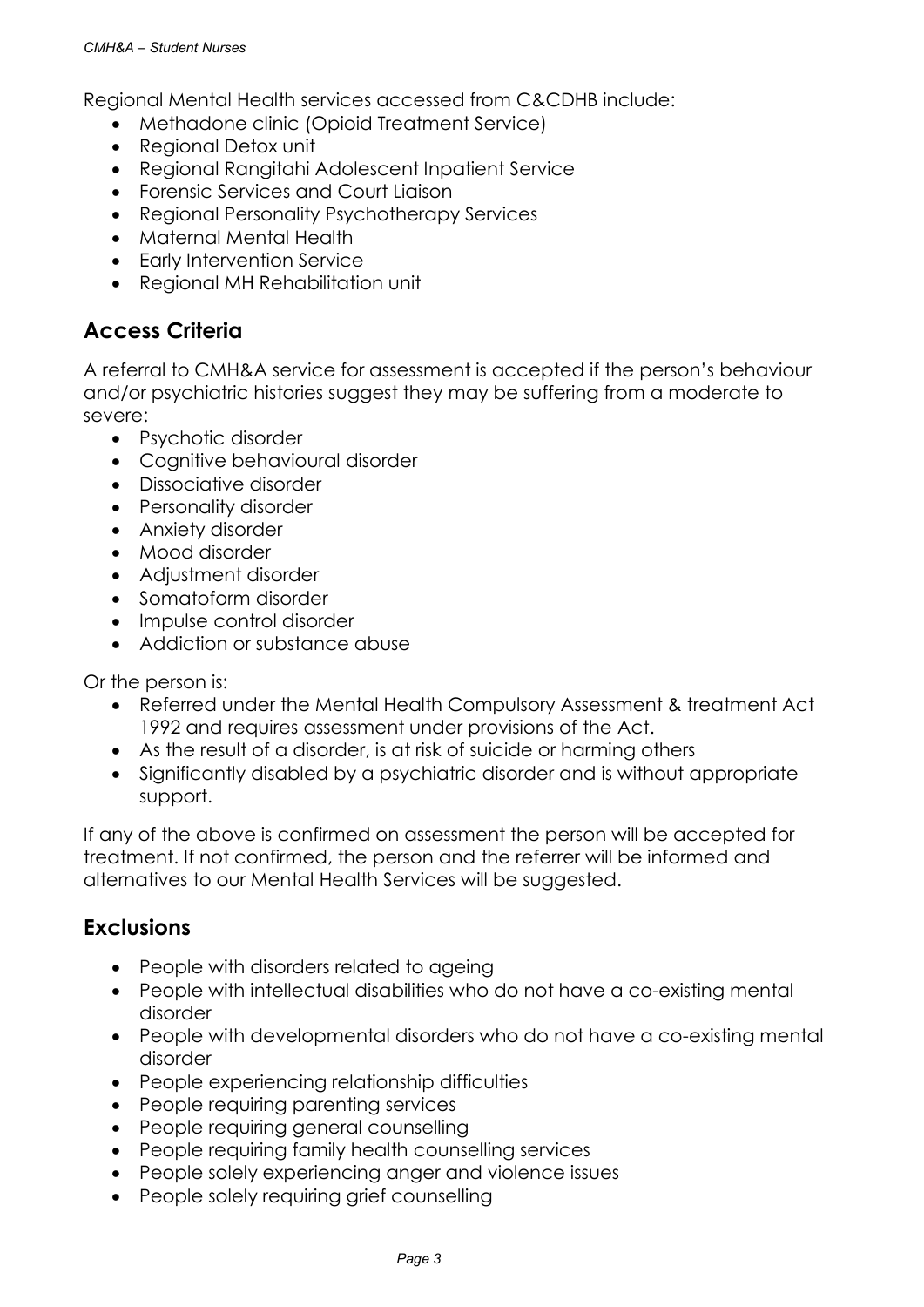Regional Mental Health services accessed from C&CDHB include:

- Methadone clinic (Opioid Treatment Service)
- Regional Detox unit
- Regional Rangitahi Adolescent Inpatient Service
- Forensic Services and Court Liaison
- Regional Personality Psychotherapy Services
- Maternal Mental Health
- Early Intervention Service
- Regional MH Rehabilitation unit

#### Access Criteria

A referral to CMH&A service for assessment is accepted if the person's behaviour and/or psychiatric histories suggest they may be suffering from a moderate to severe:

- Psychotic disorder
- Cognitive behavioural disorder
- Dissociative disorder
- Personality disorder
- Anxiety disorder
- Mood disorder
- Adjustment disorder
- Somatoform disorder
- Impulse control disorder
- Addiction or substance abuse

Or the person is:

- Referred under the Mental Health Compulsory Assessment & treatment Act 1992 and requires assessment under provisions of the Act.
- As the result of a disorder, is at risk of suicide or harming others
- Significantly disabled by a psychiatric disorder and is without appropriate support.

If any of the above is confirmed on assessment the person will be accepted for treatment. If not confirmed, the person and the referrer will be informed and alternatives to our Mental Health Services will be suggested.

#### **Exclusions**

- People with disorders related to ageing
- People with intellectual disabilities who do not have a co-existing mental disorder
- People with developmental disorders who do not have a co-existing mental disorder
- People experiencing relationship difficulties
- People requiring parenting services
- People requiring general counselling
- People requiring family health counselling services
- People solely experiencing anger and violence issues
- People solely requiring grief counselling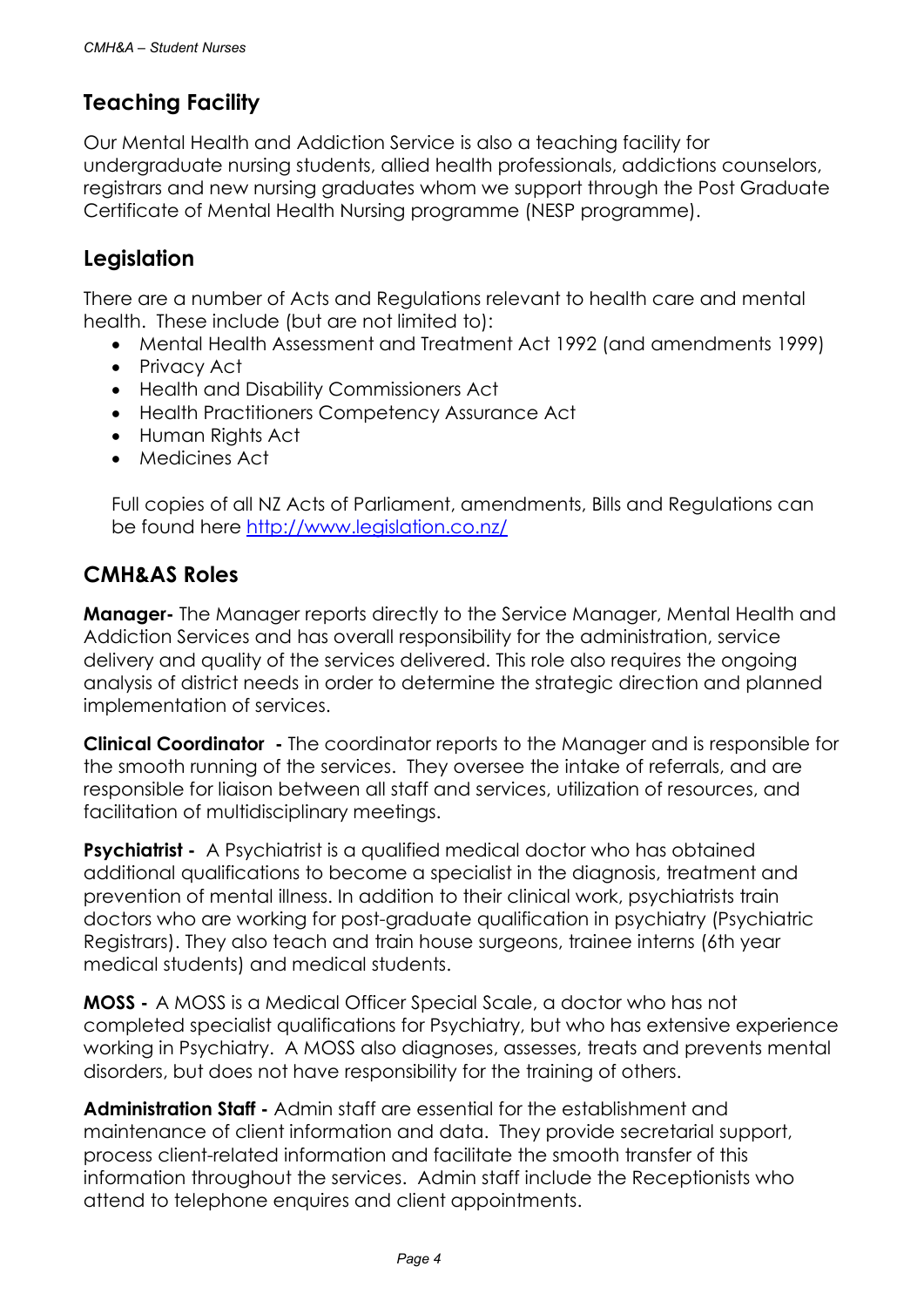#### Teaching Facility

Our Mental Health and Addiction Service is also a teaching facility for undergraduate nursing students, allied health professionals, addictions counselors, registrars and new nursing graduates whom we support through the Post Graduate Certificate of Mental Health Nursing programme (NESP programme).

#### Legislation

There are a number of Acts and Regulations relevant to health care and mental health. These include (but are not limited to):

- Mental Health Assessment and Treatment Act 1992 (and amendments 1999)
- Privacy Act
- Health and Disability Commissioners Act
- Health Practitioners Competency Assurance Act
- Human Rights Act
- Medicines Act

Full copies of all NZ Acts of Parliament, amendments, Bills and Regulations can be found here http://www.legislation.co.nz/

#### CMH&AS Roles

**Manager-** The Manager reports directly to the Service Manager, Mental Health and Addiction Services and has overall responsibility for the administration, service delivery and quality of the services delivered. This role also requires the ongoing analysis of district needs in order to determine the strategic direction and planned implementation of services.

Clinical Coordinator - The coordinator reports to the Manager and is responsible for the smooth running of the services. They oversee the intake of referrals, and are responsible for liaison between all staff and services, utilization of resources, and facilitation of multidisciplinary meetings.

**Psychiatrist -** A Psychiatrist is a qualified medical doctor who has obtained additional qualifications to become a specialist in the diagnosis, treatment and prevention of mental illness. In addition to their clinical work, psychiatrists train doctors who are working for post-graduate qualification in psychiatry (Psychiatric Registrars). They also teach and train house surgeons, trainee interns (6th year medical students) and medical students.

MOSS - A MOSS is a Medical Officer Special Scale, a doctor who has not completed specialist qualifications for Psychiatry, but who has extensive experience working in Psychiatry. A MOSS also diagnoses, assesses, treats and prevents mental disorders, but does not have responsibility for the training of others.

Administration Staff - Admin staff are essential for the establishment and maintenance of client information and data. They provide secretarial support, process client-related information and facilitate the smooth transfer of this information throughout the services. Admin staff include the Receptionists who attend to telephone enquires and client appointments.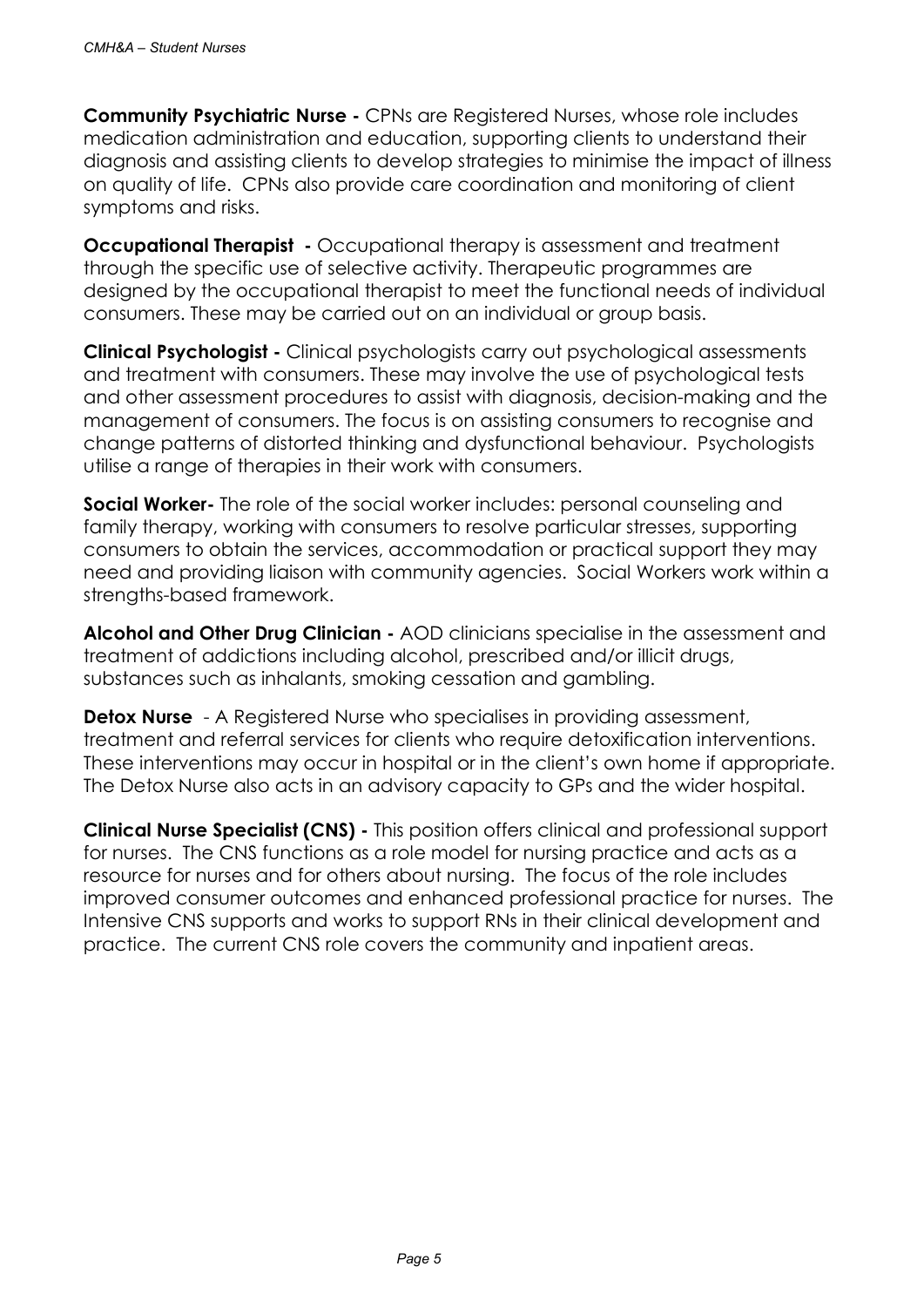Community Psychiatric Nurse - CPNs are Registered Nurses, whose role includes medication administration and education, supporting clients to understand their diagnosis and assisting clients to develop strategies to minimise the impact of illness on quality of life. CPNs also provide care coordination and monitoring of client symptoms and risks.

**Occupational Therapist** - Occupational therapy is assessment and treatment through the specific use of selective activity. Therapeutic programmes are designed by the occupational therapist to meet the functional needs of individual consumers. These may be carried out on an individual or group basis.

Clinical Psychologist - Clinical psychologists carry out psychological assessments and treatment with consumers. These may involve the use of psychological tests and other assessment procedures to assist with diagnosis, decision-making and the management of consumers. The focus is on assisting consumers to recognise and change patterns of distorted thinking and dysfunctional behaviour. Psychologists utilise a range of therapies in their work with consumers.

**Social Worker-** The role of the social worker includes: personal counseling and family therapy, working with consumers to resolve particular stresses, supporting consumers to obtain the services, accommodation or practical support they may need and providing liaison with community agencies. Social Workers work within a strengths-based framework.

Alcohol and Other Drug Clinician - AOD clinicians specialise in the assessment and treatment of addictions including alcohol, prescribed and/or illicit drugs, substances such as inhalants, smoking cessation and gambling.

**Detox Nurse** - A Registered Nurse who specialises in providing assessment, treatment and referral services for clients who require detoxification interventions. These interventions may occur in hospital or in the client's own home if appropriate. The Detox Nurse also acts in an advisory capacity to GPs and the wider hospital.

Clinical Nurse Specialist (CNS) - This position offers clinical and professional support for nurses. The CNS functions as a role model for nursing practice and acts as a resource for nurses and for others about nursing. The focus of the role includes improved consumer outcomes and enhanced professional practice for nurses. The Intensive CNS supports and works to support RNs in their clinical development and practice. The current CNS role covers the community and inpatient areas.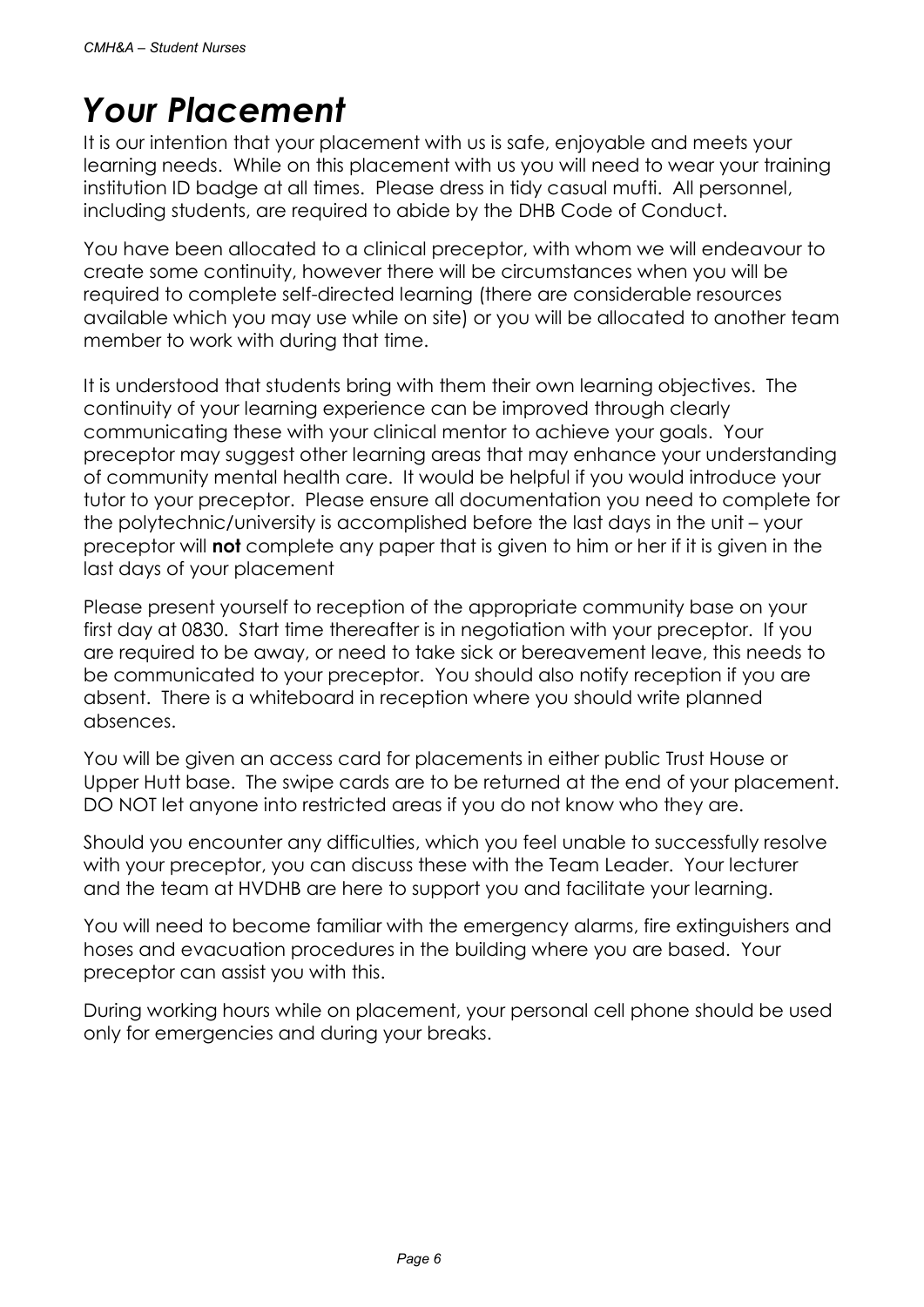# Your Placement

It is our intention that your placement with us is safe, enjoyable and meets your learning needs. While on this placement with us you will need to wear your training institution ID badge at all times. Please dress in tidy casual mufti. All personnel, including students, are required to abide by the DHB Code of Conduct.

You have been allocated to a clinical preceptor, with whom we will endeavour to create some continuity, however there will be circumstances when you will be required to complete self-directed learning (there are considerable resources available which you may use while on site) or you will be allocated to another team member to work with during that time.

It is understood that students bring with them their own learning objectives. The continuity of your learning experience can be improved through clearly communicating these with your clinical mentor to achieve your goals. Your preceptor may suggest other learning areas that may enhance your understanding of community mental health care. It would be helpful if you would introduce your tutor to your preceptor. Please ensure all documentation you need to complete for the polytechnic/university is accomplished before the last days in the unit – your preceptor will **not** complete any paper that is given to him or her if it is given in the last days of your placement

Please present yourself to reception of the appropriate community base on your first day at 0830. Start time thereafter is in negotiation with your preceptor. If you are required to be away, or need to take sick or bereavement leave, this needs to be communicated to your preceptor. You should also notify reception if you are absent. There is a whiteboard in reception where you should write planned absences.

You will be given an access card for placements in either public Trust House or Upper Hutt base. The swipe cards are to be returned at the end of your placement. DO NOT let anyone into restricted areas if you do not know who they are.

Should you encounter any difficulties, which you feel unable to successfully resolve with your preceptor, you can discuss these with the Team Leader. Your lecturer and the team at HVDHB are here to support you and facilitate your learning.

You will need to become familiar with the emergency alarms, fire extinguishers and hoses and evacuation procedures in the building where you are based. Your preceptor can assist you with this.

During working hours while on placement, your personal cell phone should be used only for emergencies and during your breaks.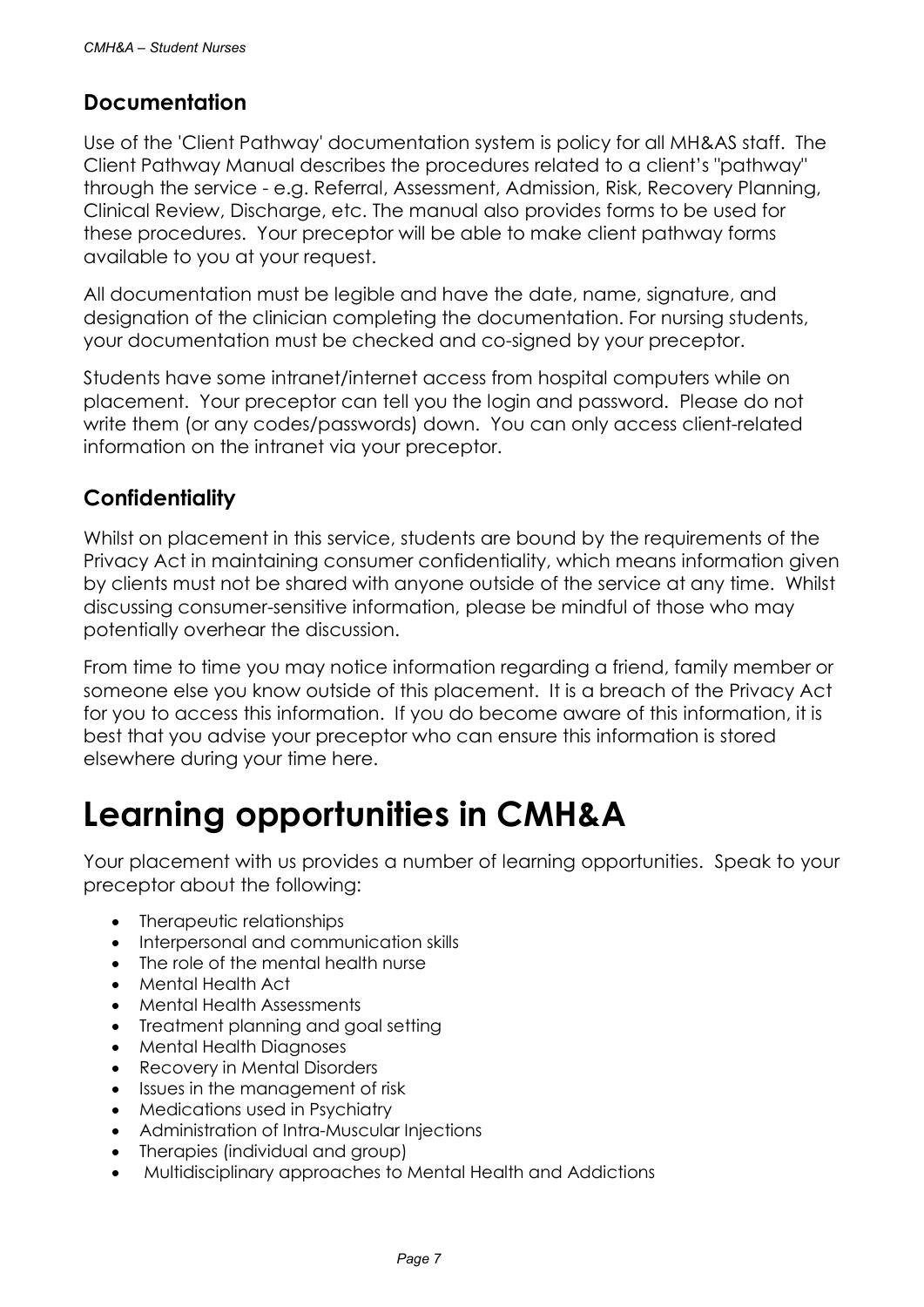#### Documentation

Use of the 'Client Pathway' documentation system is policy for all MH&AS staff. The Client Pathway Manual describes the procedures related to a client's "pathway" through the service - e.g. Referral, Assessment, Admission, Risk, Recovery Planning, Clinical Review, Discharge, etc. The manual also provides forms to be used for these procedures. Your preceptor will be able to make client pathway forms available to you at your request.

All documentation must be legible and have the date, name, signature, and designation of the clinician completing the documentation. For nursing students, your documentation must be checked and co-signed by your preceptor.

Students have some intranet/internet access from hospital computers while on placement. Your preceptor can tell you the login and password. Please do not write them (or any codes/passwords) down. You can only access client-related information on the intranet via your preceptor.

#### **Confidentiality**

Whilst on placement in this service, students are bound by the requirements of the Privacy Act in maintaining consumer confidentiality, which means information given by clients must not be shared with anyone outside of the service at any time. Whilst discussing consumer-sensitive information, please be mindful of those who may potentially overhear the discussion.

From time to time you may notice information regarding a friend, family member or someone else you know outside of this placement. It is a breach of the Privacy Act for you to access this information. If you do become aware of this information, it is best that you advise your preceptor who can ensure this information is stored elsewhere during your time here.

## Learning opportunities in CMH&A

Your placement with us provides a number of learning opportunities. Speak to your preceptor about the following:

- Therapeutic relationships
- Interpersonal and communication skills
- The role of the mental health nurse
- Mental Health Act
- Mental Health Assessments
- Treatment planning and goal setting
- Mental Health Diagnoses
- Recovery in Mental Disorders
- Issues in the management of risk
- Medications used in Psychiatry
- Administration of Intra-Muscular Injections
- Therapies (individual and group)
- Multidisciplinary approaches to Mental Health and Addictions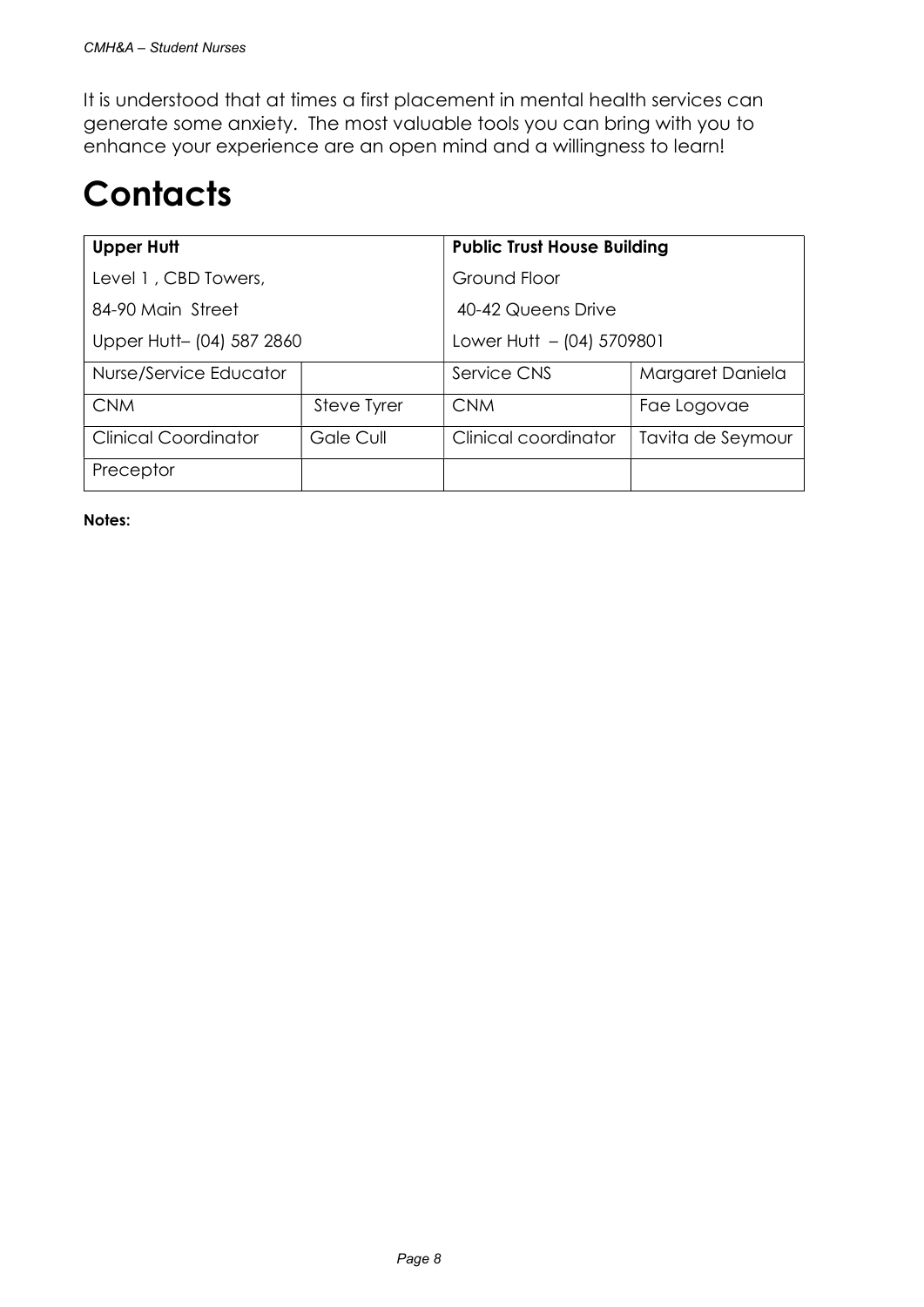It is understood that at times a first placement in mental health services can generate some anxiety. The most valuable tools you can bring with you to enhance your experience are an open mind and a willingness to learn!

# **Contacts**

| <b>Upper Hutt</b>           |             | <b>Public Trust House Building</b> |                   |  |  |
|-----------------------------|-------------|------------------------------------|-------------------|--|--|
| Level 1, CBD Towers,        |             | Ground Floor                       |                   |  |  |
| 84-90 Main Street           |             | 40-42 Queens Drive                 |                   |  |  |
| Upper Hutt- (04) 587 2860   |             | Lower Hutt $-$ (04) 5709801        |                   |  |  |
| Nurse/Service Educator      |             | Service CNS                        | Margaret Daniela  |  |  |
| <b>CNM</b>                  | Steve Tyrer | <b>CNM</b>                         | Fae Logovae       |  |  |
| <b>Clinical Coordinator</b> | Gale Cull   | Clinical coordinator               | Tavita de Seymour |  |  |
| Preceptor                   |             |                                    |                   |  |  |

Notes: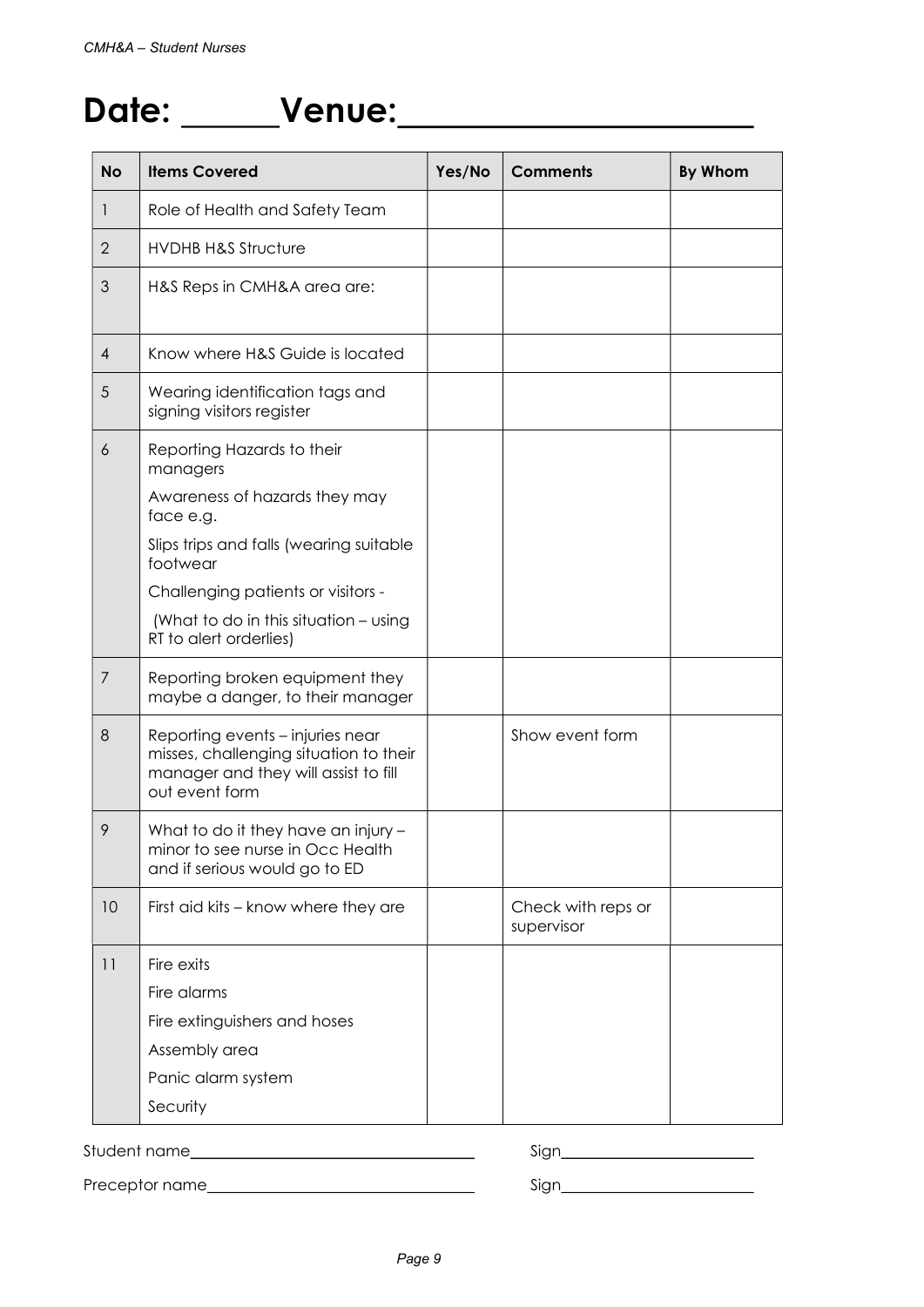# Date: \_\_\_\_\_\_Venue: \_\_\_\_\_\_\_\_\_\_\_\_\_\_\_\_\_\_\_\_\_\_\_\_

| <b>No</b>      | <b>Items Covered</b>                                                                                                                 | Yes/No | <b>Comments</b>                  | <b>By Whom</b> |
|----------------|--------------------------------------------------------------------------------------------------------------------------------------|--------|----------------------------------|----------------|
| $\mathbf{I}$   | Role of Health and Safety Team                                                                                                       |        |                                  |                |
| $\overline{2}$ | <b>HVDHB H&amp;S Structure</b>                                                                                                       |        |                                  |                |
| 3              | H&S Reps in CMH&A area are:                                                                                                          |        |                                  |                |
| $\overline{4}$ | Know where H&S Guide is located                                                                                                      |        |                                  |                |
| 5              | Wearing identification tags and<br>signing visitors register                                                                         |        |                                  |                |
| 6              | Reporting Hazards to their<br>managers                                                                                               |        |                                  |                |
|                | Awareness of hazards they may<br>face e.g.                                                                                           |        |                                  |                |
|                | Slips trips and falls (wearing suitable<br>footwear                                                                                  |        |                                  |                |
|                | Challenging patients or visitors -                                                                                                   |        |                                  |                |
|                | (What to do in this situation - using<br>RT to alert orderlies)                                                                      |        |                                  |                |
| 7              | Reporting broken equipment they<br>maybe a danger, to their manager                                                                  |        |                                  |                |
| 8              | Reporting events – injuries near<br>misses, challenging situation to their<br>manager and they will assist to fill<br>out event form |        | Show event form                  |                |
| 9              | What to do it they have an injury -<br>minor to see nurse in Occ Health<br>and if serious would go to ED                             |        |                                  |                |
| 10             | First aid kits - know where they are                                                                                                 |        | Check with reps or<br>supervisor |                |
| 11             | Fire exits                                                                                                                           |        |                                  |                |
|                | Fire alarms                                                                                                                          |        |                                  |                |
|                | Fire extinguishers and hoses                                                                                                         |        |                                  |                |
|                | Assembly area                                                                                                                        |        |                                  |                |
|                | Panic alarm system                                                                                                                   |        |                                  |                |
|                | Security                                                                                                                             |        |                                  |                |

Student name Sign

Preceptor name Sign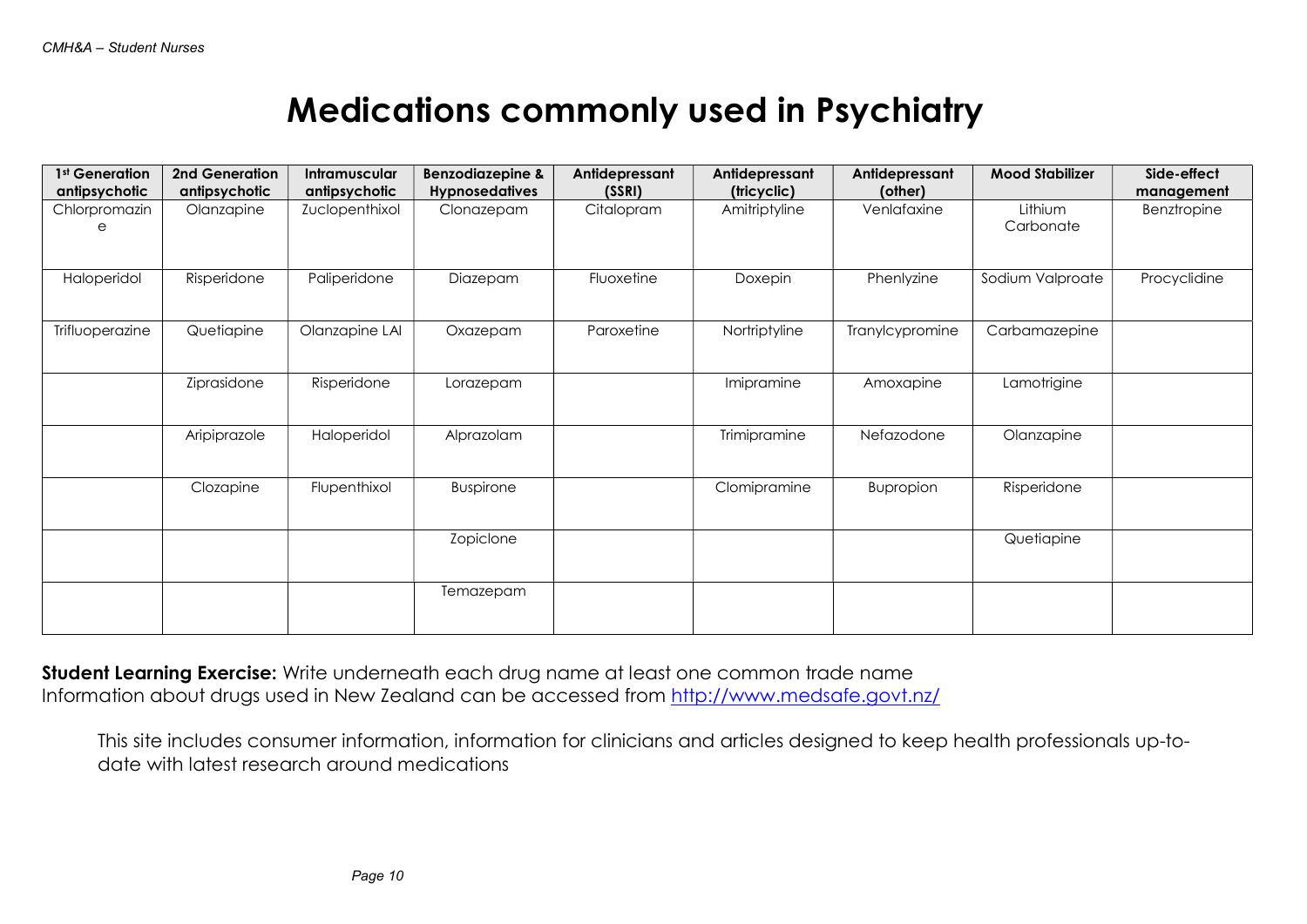## Medications commonly used in Psychiatry

| 1st Generation  | 2nd Generation | Intramuscular  | <b>Benzodiazepine &amp;</b> | Antidepressant | Antidepressant | Antidepressant  | <b>Mood Stabilizer</b> | Side-effect  |
|-----------------|----------------|----------------|-----------------------------|----------------|----------------|-----------------|------------------------|--------------|
| antipsychotic   | antipsychotic  | antipsychotic  | <b>Hypnosedatives</b>       | (SSRI)         | (tricyclic)    | (other)         |                        | management   |
| Chlorpromazin   | Olanzapine     | Zuclopenthixol | Clonazepam                  | Citalopram     | Amitriptyline  | Venlafaxine     | Lithium                | Benztropine  |
|                 |                |                |                             |                |                |                 | Carbonate              |              |
|                 |                |                |                             |                |                |                 |                        |              |
| Haloperidol     | Risperidone    | Paliperidone   | Diazepam                    | Fluoxetine     | Doxepin        | Phenlyzine      | Sodium Valproate       | Procyclidine |
|                 |                |                |                             |                |                |                 |                        |              |
| Trifluoperazine | Quetiapine     | Olanzapine LAI | Oxazepam                    | Paroxetine     | Nortriptyline  | Tranylcypromine | Carbamazepine          |              |
|                 |                |                |                             |                |                |                 |                        |              |
|                 | Ziprasidone    | Risperidone    | Lorazepam                   |                | Imipramine     | Amoxapine       | Lamotrigine            |              |
|                 |                |                |                             |                |                |                 |                        |              |
|                 | Aripiprazole   | Haloperidol    | Alprazolam                  |                | Trimipramine   | Nefazodone      | Olanzapine             |              |
|                 |                |                |                             |                |                |                 |                        |              |
|                 | Clozapine      | Flupenthixol   | Buspirone                   |                | Clomipramine   | Bupropion       | Risperidone            |              |
|                 |                |                |                             |                |                |                 |                        |              |
|                 |                |                | Zopiclone                   |                |                |                 | Quetiapine             |              |
|                 |                |                |                             |                |                |                 |                        |              |
|                 |                |                | Temazepam                   |                |                |                 |                        |              |
|                 |                |                |                             |                |                |                 |                        |              |
|                 |                |                |                             |                |                |                 |                        |              |

Student Learning Exercise: Write underneath each drug name at least one common trade name Information about drugs used in New Zealand can be accessed from http://www.medsafe.govt.nz/

This site includes consumer information, information for clinicians and articles designed to keep health professionals up-todate with latest research around medications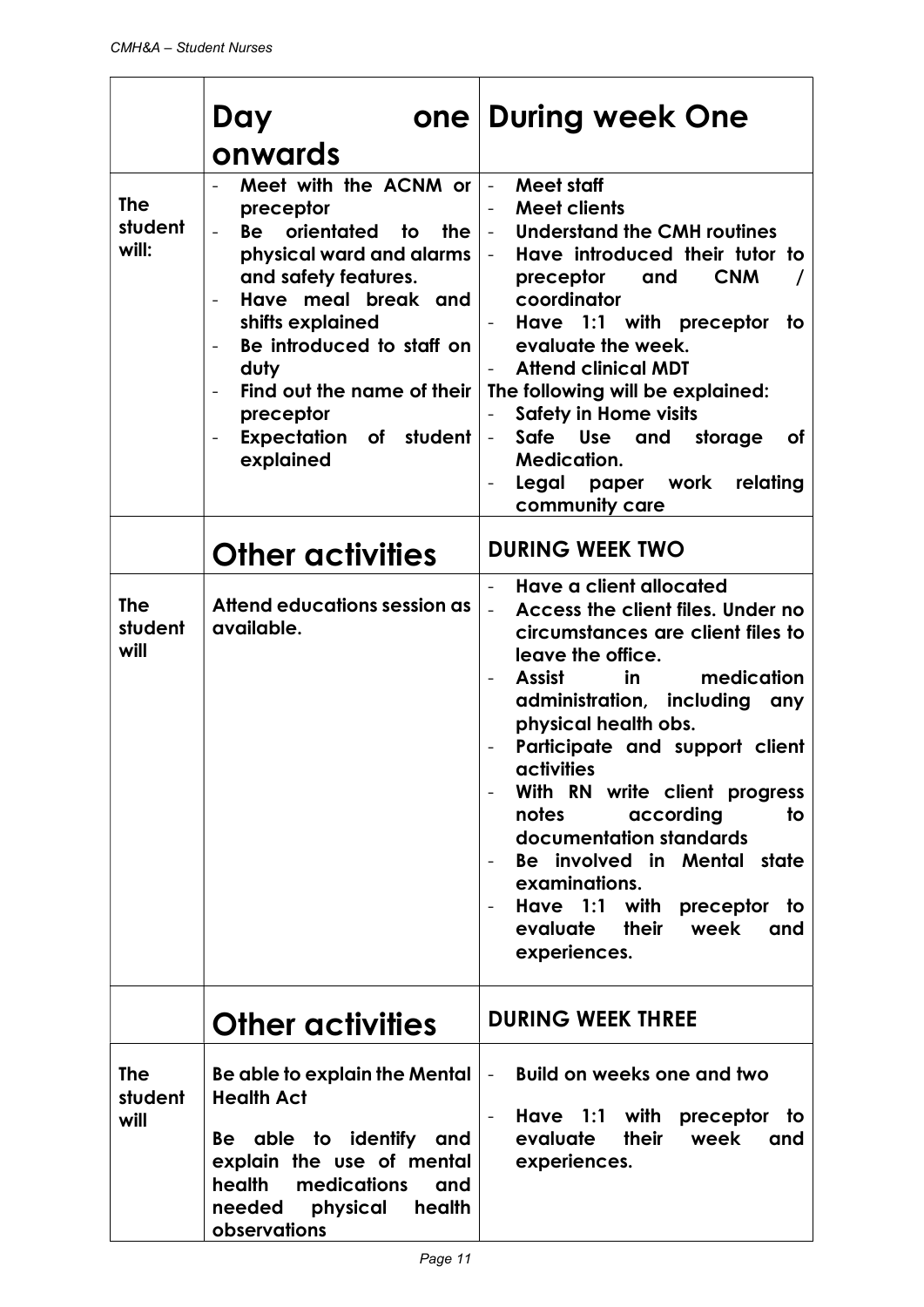|                                | Day<br>onwards                                                                                                                                                                                                                                                                                                                                     | one During week One                                                                                                                                                                                                                                                                                                                                                                                                                                                                                                                 |
|--------------------------------|----------------------------------------------------------------------------------------------------------------------------------------------------------------------------------------------------------------------------------------------------------------------------------------------------------------------------------------------------|-------------------------------------------------------------------------------------------------------------------------------------------------------------------------------------------------------------------------------------------------------------------------------------------------------------------------------------------------------------------------------------------------------------------------------------------------------------------------------------------------------------------------------------|
| <b>The</b><br>student<br>will: | Meet with the ACNM or<br>preceptor<br>Be orientated to<br>the<br>physical ward and alarms<br>and safety features.<br>Have meal break and<br>shifts explained<br>Be introduced to staff on<br>$\overline{\phantom{a}}$<br>duty<br>Find out the name of their<br>$\overline{\phantom{0}}$<br>preceptor<br><b>Expectation of student</b><br>explained | Meet staff<br>$\equiv$<br><b>Meet clients</b><br>$\overline{\phantom{0}}$<br>Understand the CMH routines<br>$\equiv$<br>Have introduced their tutor to<br>$\omega_{\rm{max}}$<br><b>CNM</b><br>preceptor<br>and<br>coordinator<br>Have 1:1 with preceptor<br>to<br>evaluate the week.<br><b>Attend clinical MDT</b><br>The following will be explained:<br><b>Safety in Home visits</b><br>Safe<br>Use<br>and storage<br><b>of</b><br>$\overline{\phantom{a}}$<br><b>Medication.</b><br>Legal paper work relating<br>community care |
|                                | <b>Other activities</b>                                                                                                                                                                                                                                                                                                                            | <b>DURING WEEK TWO</b>                                                                                                                                                                                                                                                                                                                                                                                                                                                                                                              |
| <b>The</b><br>student<br>will  | Attend educations session as<br>available.                                                                                                                                                                                                                                                                                                         | Have a client allocated<br>Access the client files. Under no<br>$\overline{a}$<br>circumstances are client files to<br>leave the office.<br>medication<br>Assist<br>in<br>administration, including<br>any<br>physical health obs.<br>Participate and support client<br>activities<br>With RN write client progress<br>according<br>notes<br>to<br>documentation standards<br>Be involved in Mental state<br>examinations.<br>Have 1:1 with preceptor to<br>evaluate their<br>week<br>and<br>experiences.                           |
|                                | <b>Other activities</b>                                                                                                                                                                                                                                                                                                                            | <b>DURING WEEK THREE</b>                                                                                                                                                                                                                                                                                                                                                                                                                                                                                                            |
| <b>The</b><br>student<br>will  | Be able to explain the Mental<br><b>Health Act</b><br>Be able to identify<br>and<br>explain the use of mental<br>health<br>medications<br>and<br>physical<br>health<br>needed<br>observations                                                                                                                                                      | <b>Build on weeks one and two</b><br>$\blacksquare$<br>Have 1:1 with<br>preceptor<br>to<br>evaluate<br>their<br>week<br>and<br>experiences.                                                                                                                                                                                                                                                                                                                                                                                         |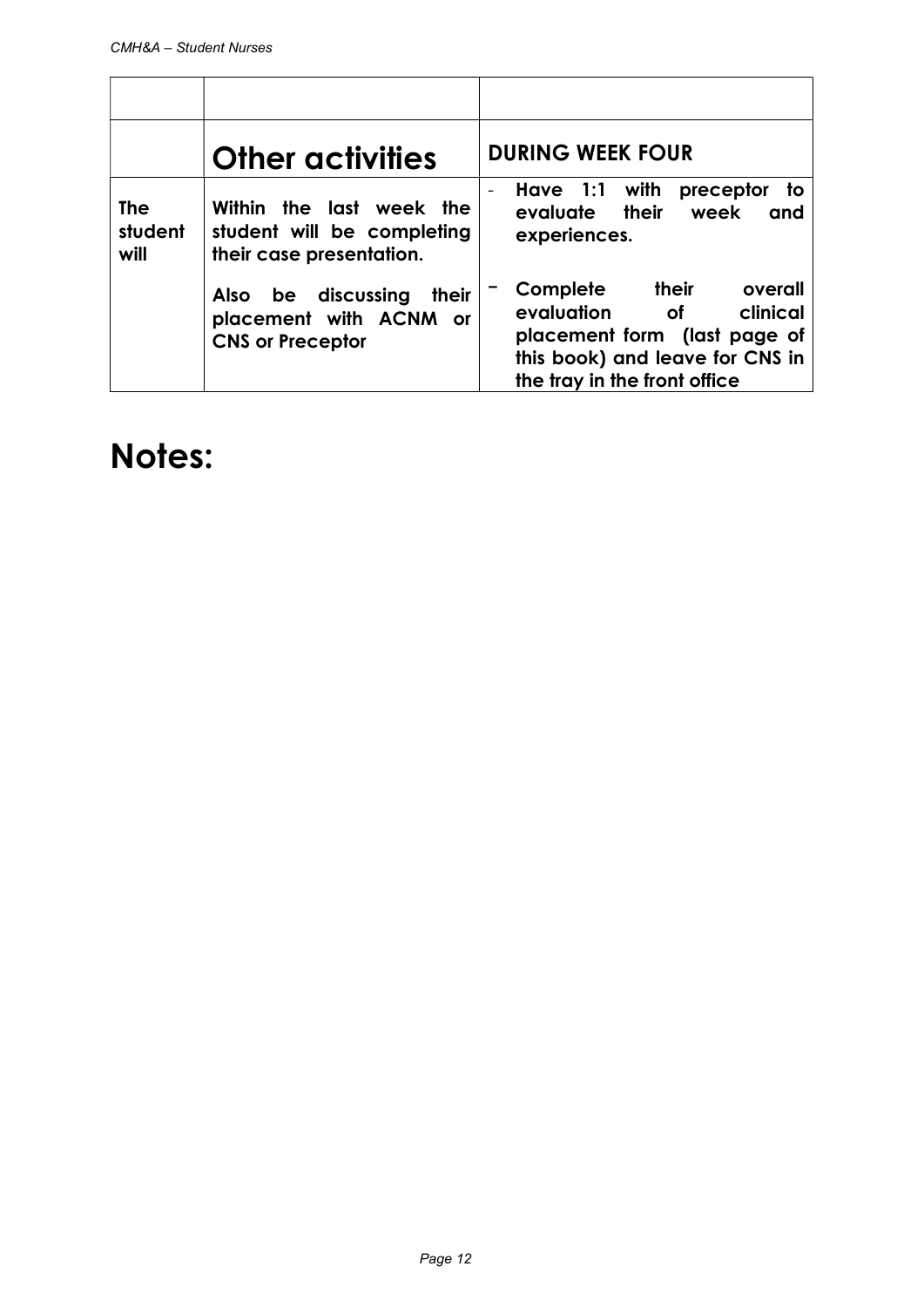|                               | <b>Other activities</b>                                                                    | <b>DURING WEEK FOUR</b>                                                                                                                                                |
|-------------------------------|--------------------------------------------------------------------------------------------|------------------------------------------------------------------------------------------------------------------------------------------------------------------------|
| <b>The</b><br>student<br>will | Within the last week the<br>student will be completing<br>their case presentation.         | Have 1:1<br>with<br>preceptor<br>to<br>$\qquad \qquad -$<br>evaluate their<br>week<br>and<br>experiences.                                                              |
|                               | be discussing<br>their<br><b>Also</b><br>placement with ACNM or<br><b>CNS or Preceptor</b> | their<br>Complete<br>overall<br>evaluation<br>clinical<br><b>of</b><br>placement form (last page of<br>this book) and leave for CNS in<br>the tray in the front office |

### Notes: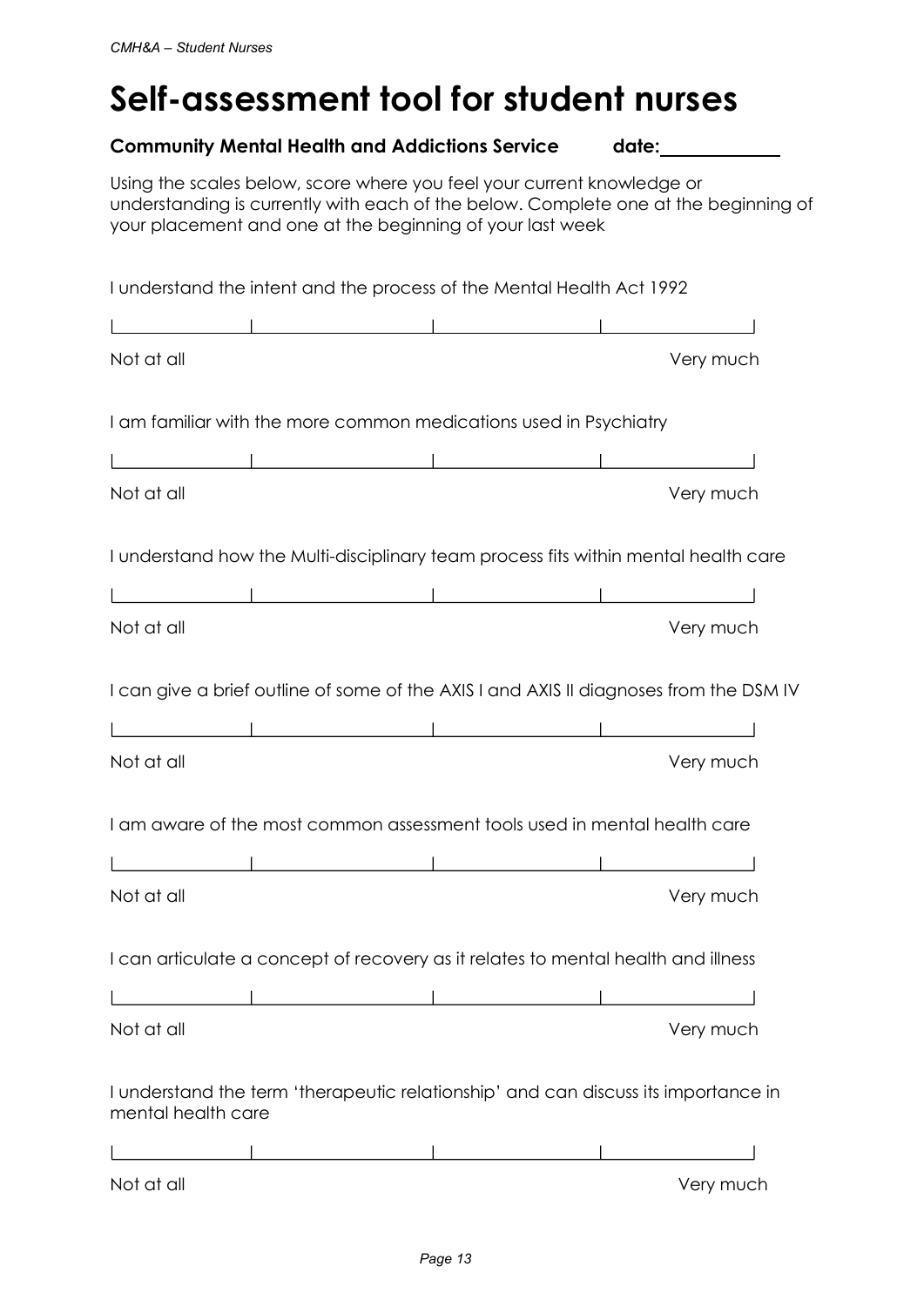# Self-assessment tool for student nurses

|                    | <b>Community Mental Health and Addictions Service</b>                                                                                                                                                                      | date: |           |
|--------------------|----------------------------------------------------------------------------------------------------------------------------------------------------------------------------------------------------------------------------|-------|-----------|
|                    | Using the scales below, score where you feel your current knowledge or<br>understanding is currently with each of the below. Complete one at the beginning of<br>your placement and one at the beginning of your last week |       |           |
|                    | I understand the intent and the process of the Mental Health Act 1992                                                                                                                                                      |       |           |
|                    | <u> La componenta de la componenta de la componenta de la componenta de la componenta de la componenta de la compo</u>                                                                                                     |       |           |
| Not at all         |                                                                                                                                                                                                                            |       | Very much |
|                    | I am familiar with the more common medications used in Psychiatry                                                                                                                                                          |       |           |
|                    |                                                                                                                                                                                                                            |       |           |
| Not at all         |                                                                                                                                                                                                                            |       | Very much |
|                    | I understand how the Multi-disciplinary team process fits within mental health care                                                                                                                                        |       |           |
|                    |                                                                                                                                                                                                                            |       |           |
| Not at all         |                                                                                                                                                                                                                            |       | Very much |
|                    | I can give a brief outline of some of the AXIS I and AXIS II diagnoses from the DSM IV                                                                                                                                     |       |           |
|                    |                                                                                                                                                                                                                            |       |           |
| Not at all         |                                                                                                                                                                                                                            |       | Very much |
|                    | I am aware of the most common assessment tools used in mental health care                                                                                                                                                  |       |           |
|                    | <u> 1989 - Johann Stoff, Amerikaansk politiker († 1908)</u>                                                                                                                                                                |       |           |
| Not at all         |                                                                                                                                                                                                                            |       | Very much |
|                    | I can articulate a concept of recovery as it relates to mental health and illness                                                                                                                                          |       |           |
|                    |                                                                                                                                                                                                                            |       |           |
| Not at all         |                                                                                                                                                                                                                            |       | Very much |
| mental health care | I understand the term 'therapeutic relationship' and can discuss its importance in                                                                                                                                         |       |           |
|                    |                                                                                                                                                                                                                            |       |           |
| Not at all         |                                                                                                                                                                                                                            |       | Very much |
|                    |                                                                                                                                                                                                                            |       |           |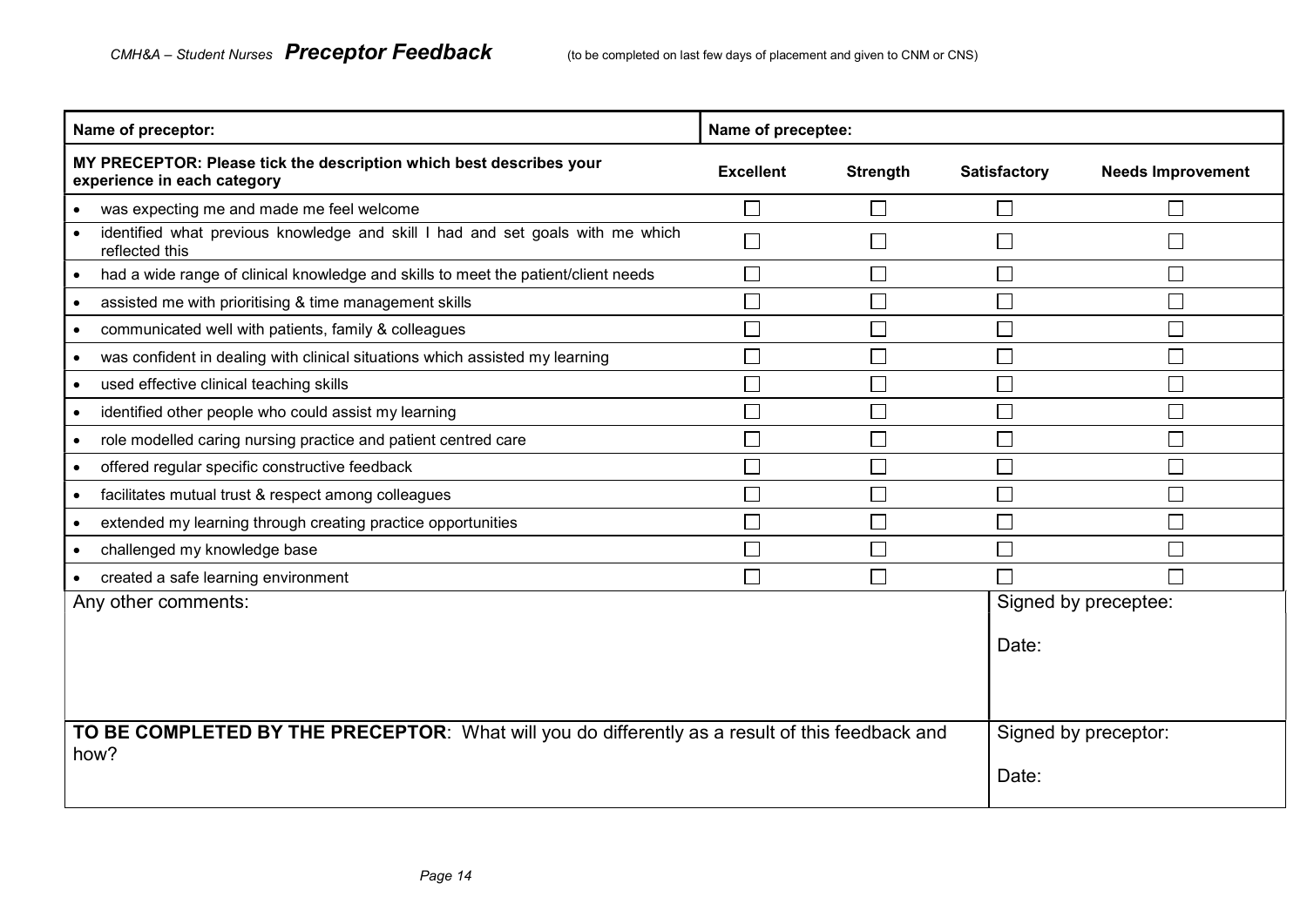| Name of preceptor:                                                                                      | Name of preceptee:          |                 |                     |                          |
|---------------------------------------------------------------------------------------------------------|-----------------------------|-----------------|---------------------|--------------------------|
| MY PRECEPTOR: Please tick the description which best describes your<br>experience in each category      | <b>Excellent</b>            | <b>Strength</b> | <b>Satisfactory</b> | <b>Needs Improvement</b> |
| was expecting me and made me feel welcome<br>$\bullet$                                                  | $\sim$                      |                 |                     | $\mathsf{L}$             |
| identified what previous knowledge and skill I had and set goals with me which<br>reflected this        | $\Box$                      |                 |                     | $\mathsf{L}$             |
| had a wide range of clinical knowledge and skills to meet the patient/client needs                      | Π                           |                 |                     | $\mathsf{L}$             |
| assisted me with prioritising & time management skills<br>$\bullet$                                     | $\Box$                      |                 |                     | $\Box$                   |
| communicated well with patients, family & colleagues<br>$\bullet$                                       |                             |                 |                     | П                        |
| was confident in dealing with clinical situations which assisted my learning<br>$\bullet$               |                             |                 |                     | П                        |
| used effective clinical teaching skills                                                                 | $\overline{\phantom{a}}$    |                 |                     | $\Box$                   |
| identified other people who could assist my learning                                                    | П                           |                 |                     | $\Box$                   |
| role modelled caring nursing practice and patient centred care                                          | $\mathcal{L}_{\mathcal{A}}$ |                 |                     | $\Box$                   |
| offered regular specific constructive feedback                                                          | $\Box$                      |                 |                     | $\Box$                   |
| facilitates mutual trust & respect among colleagues                                                     | Π                           |                 |                     | $\Box$                   |
| extended my learning through creating practice opportunities<br>$\bullet$                               | $\Box$                      |                 |                     | $\Box$                   |
| challenged my knowledge base                                                                            |                             |                 |                     | $\Box$                   |
| created a safe learning environment                                                                     | П                           | $\Box$          |                     | П                        |
| Any other comments:                                                                                     |                             |                 |                     | Signed by preceptee:     |
|                                                                                                         |                             |                 | Date:               |                          |
| TO BE COMPLETED BY THE PRECEPTOR: What will you do differently as a result of this feedback and<br>how? |                             |                 | Date:               | Signed by preceptor:     |